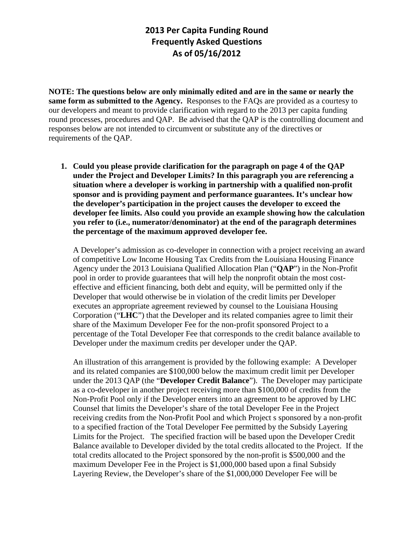**NOTE: The questions below are only minimally edited and are in the same or nearly the same form as submitted to the Agency.** Responses to the FAQs are provided as a courtesy to our developers and meant to provide clarification with regard to the 2013 per capita funding round processes, procedures and QAP. Be advised that the QAP is the controlling document and responses below are not intended to circumvent or substitute any of the directives or requirements of the QAP.

**1. Could you please provide clarification for the paragraph on page 4 of the QAP under the Project and Developer Limits? In this paragraph you are referencing a situation where a developer is working in partnership with a qualified non-profit sponsor and is providing payment and performance guarantees. It's unclear how the developer's participation in the project causes the developer to exceed the developer fee limits. Also could you provide an example showing how the calculation you refer to (i.e., numerator/denominator) at the end of the paragraph determines the percentage of the maximum approved developer fee.**

A Developer's admission as co-developer in connection with a project receiving an award of competitive Low Income Housing Tax Credits from the Louisiana Housing Finance Agency under the 2013 Louisiana Qualified Allocation Plan ("**QAP**") in the Non-Profit pool in order to provide guarantees that will help the nonprofit obtain the most costeffective and efficient financing, both debt and equity, will be permitted only if the Developer that would otherwise be in violation of the credit limits per Developer executes an appropriate agreement reviewed by counsel to the Louisiana Housing Corporation ("**LHC**") that the Developer and its related companies agree to limit their share of the Maximum Developer Fee for the non-profit sponsored Project to a percentage of the Total Developer Fee that corresponds to the credit balance available to Developer under the maximum credits per developer under the QAP.

An illustration of this arrangement is provided by the following example: A Developer and its related companies are \$100,000 below the maximum credit limit per Developer under the 2013 QAP (the "**Developer Credit Balance**"). The Developer may participate as a co-developer in another project receiving more than \$100,000 of credits from the Non-Profit Pool only if the Developer enters into an agreement to be approved by LHC Counsel that limits the Developer's share of the total Developer Fee in the Project receiving credits from the Non-Profit Pool and which Project s sponsored by a non-profit to a specified fraction of the Total Developer Fee permitted by the Subsidy Layering Limits for the Project. The specified fraction will be based upon the Developer Credit Balance available to Developer divided by the total credits allocated to the Project. If the total credits allocated to the Project sponsored by the non-profit is \$500,000 and the maximum Developer Fee in the Project is \$1,000,000 based upon a final Subsidy Layering Review, the Developer's share of the \$1,000,000 Developer Fee will be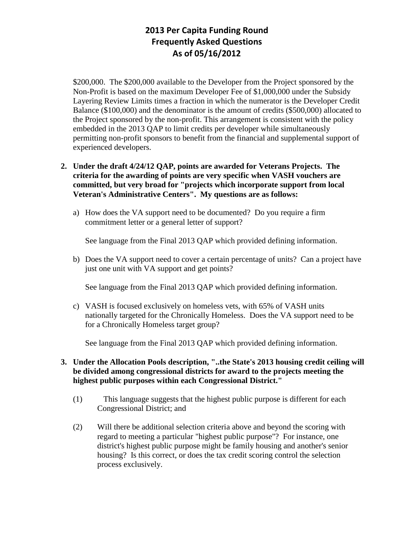\$200,000. The \$200,000 available to the Developer from the Project sponsored by the Non-Profit is based on the maximum Developer Fee of \$1,000,000 under the Subsidy Layering Review Limits times a fraction in which the numerator is the Developer Credit Balance (\$100,000) and the denominator is the amount of credits (\$500,000) allocated to the Project sponsored by the non-profit. This arrangement is consistent with the policy embedded in the 2013 QAP to limit credits per developer while simultaneously permitting non-profit sponsors to benefit from the financial and supplemental support of experienced developers.

## **2. Under the draft 4/24/12 QAP, points are awarded for Veterans Projects. The criteria for the awarding of points are very specific when VASH vouchers are committed, but very broad for "projects which incorporate support from local Veteran's Administrative Centers". My questions are as follows:**

a) How does the VA support need to be documented? Do you require a firm commitment letter or a general letter of support?

See language from the Final 2013 QAP which provided defining information.

b) Does the VA support need to cover a certain percentage of units? Can a project have just one unit with VA support and get points?

See language from the Final 2013 QAP which provided defining information.

c) VASH is focused exclusively on homeless vets, with 65% of VASH units nationally targeted for the Chronically Homeless. Does the VA support need to be for a Chronically Homeless target group?

See language from the Final 2013 QAP which provided defining information.

## **3. Under the Allocation Pools description, "..the State's 2013 housing credit ceiling will be divided among congressional districts for award to the projects meeting the highest public purposes within each Congressional District."**

- (1) This language suggests that the highest public purpose is different for each Congressional District; and
- (2) Will there be additional selection criteria above and beyond the scoring with regard to meeting a particular "highest public purpose"? For instance, one district's highest public purpose might be family housing and another's senior housing? Is this correct, or does the tax credit scoring control the selection process exclusively.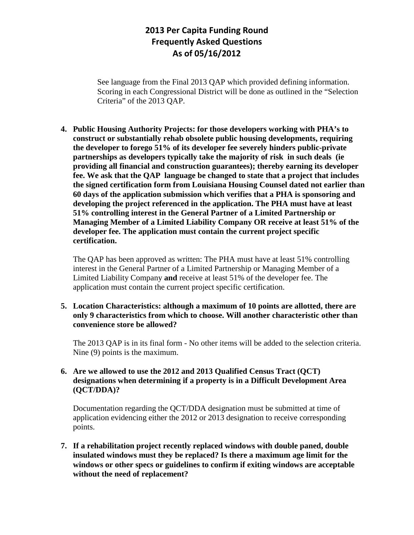See language from the Final 2013 QAP which provided defining information. Scoring in each Congressional District will be done as outlined in the "Selection Criteria" of the 2013 QAP.

**4. Public Housing Authority Projects: for those developers working with PHA's to construct or substantially rehab obsolete public housing developments, requiring the developer to forego 51% of its developer fee severely hinders public-private partnerships as developers typically take the majority of risk in such deals (ie providing all financial and construction guarantees); thereby earning its developer fee. We ask that the QAP language be changed to state that a project that includes the signed certification form from Louisiana Housing Counsel dated not earlier than 60 days of the application submission which verifies that a PHA is sponsoring and developing the project referenced in the application. The PHA must have at least 51% controlling interest in the General Partner of a Limited Partnership or Managing Member of a Limited Liability Company OR receive at least 51% of the developer fee. The application must contain the current project specific certification.**

The QAP has been approved as written: The PHA must have at least 51% controlling interest in the General Partner of a Limited Partnership or Managing Member of a Limited Liability Company **and** receive at least 51% of the developer fee. The application must contain the current project specific certification.

## **5. Location Characteristics: although a maximum of 10 points are allotted, there are only 9 characteristics from which to choose. Will another characteristic other than convenience store be allowed?**

The 2013 QAP is in its final form - No other items will be added to the selection criteria. Nine (9) points is the maximum.

## **6. Are we allowed to use the 2012 and 2013 Qualified Census Tract (QCT) designations when determining if a property is in a Difficult Development Area (QCT/DDA)?**

Documentation regarding the QCT/DDA designation must be submitted at time of application evidencing either the 2012 or 2013 designation to receive corresponding points.

**7. If a rehabilitation project recently replaced windows with double paned, double insulated windows must they be replaced? Is there a maximum age limit for the windows or other specs or guidelines to confirm if exiting windows are acceptable without the need of replacement?**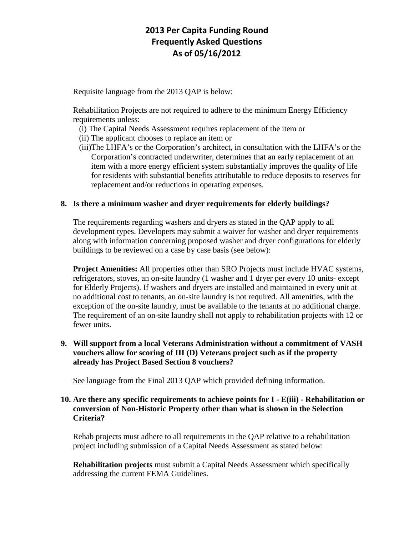Requisite language from the 2013 QAP is below:

Rehabilitation Projects are not required to adhere to the minimum Energy Efficiency requirements unless:

- (i) The Capital Needs Assessment requires replacement of the item or
- (ii) The applicant chooses to replace an item or
- (iii)The LHFA's or the Corporation's architect, in consultation with the LHFA's or the Corporation's contracted underwriter, determines that an early replacement of an item with a more energy efficient system substantially improves the quality of life for residents with substantial benefits attributable to reduce deposits to reserves for replacement and/or reductions in operating expenses.

## **8. Is there a minimum washer and dryer requirements for elderly buildings?**

The requirements regarding washers and dryers as stated in the QAP apply to all development types. Developers may submit a waiver for washer and dryer requirements along with information concerning proposed washer and dryer configurations for elderly buildings to be reviewed on a case by case basis (see below):

**Project Amenities:** All properties other than SRO Projects must include HVAC systems, refrigerators, stoves, an on-site laundry (1 washer and 1 dryer per every 10 units- except for Elderly Projects). If washers and dryers are installed and maintained in every unit at no additional cost to tenants, an on-site laundry is not required. All amenities, with the exception of the on-site laundry, must be available to the tenants at no additional charge. The requirement of an on-site laundry shall not apply to rehabilitation projects with 12 or fewer units.

## **9. Will support from a local Veterans Administration without a commitment of VASH vouchers allow for scoring of III (D) Veterans project such as if the property already has Project Based Section 8 vouchers?**

See language from the Final 2013 QAP which provided defining information.

## **10. Are there any specific requirements to achieve points for I - E(iii) - Rehabilitation or conversion of Non-Historic Property other than what is shown in the Selection Criteria?**

Rehab projects must adhere to all requirements in the QAP relative to a rehabilitation project including submission of a Capital Needs Assessment as stated below:

**Rehabilitation projects** must submit a Capital Needs Assessment which specifically addressing the current FEMA Guidelines.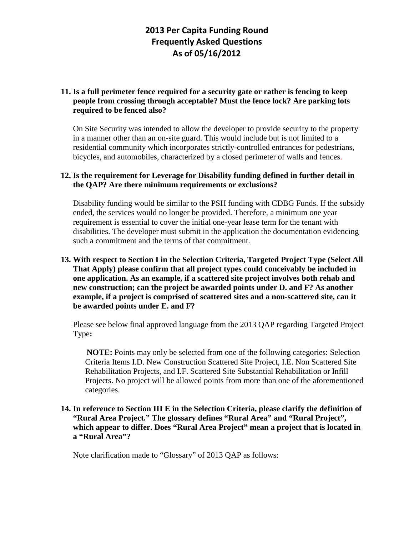## **11. Is a full perimeter fence required for a security gate or rather is fencing to keep people from crossing through acceptable? Must the fence lock? Are parking lots required to be fenced also?**

On Site Security was intended to allow the developer to provide security to the property in a manner other than an on-site guard. This would include but is not limited to a residential community which incorporates strictly-controlled entrances for pedestrians, bicycles, and automobiles, characterized by a closed perimeter of walls and fences.

### **12. Is the requirement for Leverage for Disability funding defined in further detail in the QAP? Are there minimum requirements or exclusions?**

Disability funding would be similar to the PSH funding with CDBG Funds. If the subsidy ended, the services would no longer be provided. Therefore, a minimum one year requirement is essential to cover the initial one-year lease term for the tenant with disabilities. The developer must submit in the application the documentation evidencing such a commitment and the terms of that commitment.

## **13. With respect to Section I in the Selection Criteria, Targeted Project Type (Select All That Apply) please confirm that all project types could conceivably be included in one application. As an example, if a scattered site project involves both rehab and new construction; can the project be awarded points under D. and F? As another example, if a project is comprised of scattered sites and a non-scattered site, can it be awarded points under E. and F?**

Please see below final approved language from the 2013 QAP regarding Targeted Project Type**:**

**NOTE:** Points may only be selected from one of the following categories: Selection Criteria Items I.D. New Construction Scattered Site Project, I.E. Non Scattered Site Rehabilitation Projects, and I.F. Scattered Site Substantial Rehabilitation or Infill Projects. No project will be allowed points from more than one of the aforementioned categories.

## **14. In reference to Section III E in the Selection Criteria, please clarify the definition of "Rural Area Project." The glossary defines "Rural Area" and "Rural Project", which appear to differ. Does "Rural Area Project" mean a project that is located in a "Rural Area"?**

Note clarification made to "Glossary" of 2013 QAP as follows: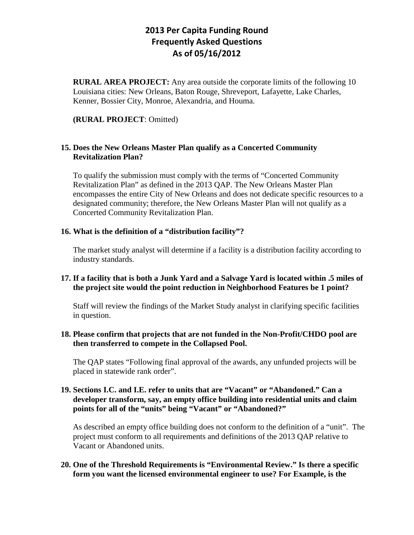**RURAL AREA PROJECT:** Any area outside the corporate limits of the following 10 Louisiana cities: New Orleans, Baton Rouge, Shreveport, Lafayette, Lake Charles, Kenner, Bossier City, Monroe, Alexandria, and Houma.

#### **(RURAL PROJECT**: Omitted)

#### **15. Does the New Orleans Master Plan qualify as a Concerted Community Revitalization Plan?**

To qualify the submission must comply with the terms of "Concerted Community Revitalization Plan" as defined in the 2013 QAP. The New Orleans Master Plan encompasses the entire City of New Orleans and does not dedicate specific resources to a designated community; therefore, the New Orleans Master Plan will not qualify as a Concerted Community Revitalization Plan.

#### **16. What is the definition of a "distribution facility"?**

The market study analyst will determine if a facility is a distribution facility according to industry standards.

### **17. If a facility that is both a Junk Yard and a Salvage Yard is located within .5 miles of the project site would the point reduction in Neighborhood Features be 1 point?**

Staff will review the findings of the Market Study analyst in clarifying specific facilities in question.

#### **18. Please confirm that projects that are not funded in the Non-Profit/CHDO pool are then transferred to compete in the Collapsed Pool.**

The QAP states "Following final approval of the awards, any unfunded projects will be placed in statewide rank order".

### **19. Sections I.C. and I.E. refer to units that are "Vacant" or "Abandoned." Can a developer transform, say, an empty office building into residential units and claim points for all of the "units" being "Vacant" or "Abandoned?"**

As described an empty office building does not conform to the definition of a "unit". The project must conform to all requirements and definitions of the 2013 QAP relative to Vacant or Abandoned units.

### **20. One of the Threshold Requirements is "Environmental Review." Is there a specific form you want the licensed environmental engineer to use? For Example, is the**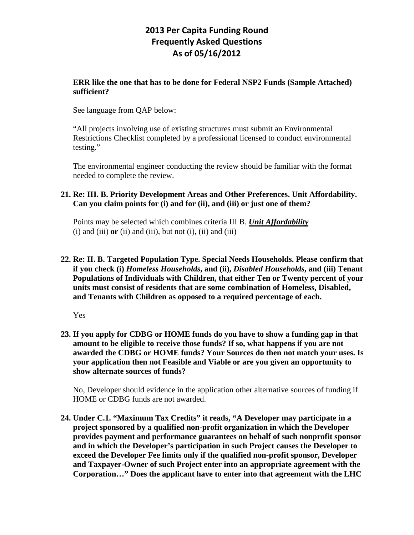#### **ERR like the one that has to be done for Federal NSP2 Funds (Sample Attached) sufficient?**

See language from QAP below:

"All projects involving use of existing structures must submit an Environmental Restrictions Checklist completed by a professional licensed to conduct environmental testing."

The environmental engineer conducting the review should be familiar with the format needed to complete the review.

## **21. Re: III. B. Priority Development Areas and Other Preferences. Unit Affordability. Can you claim points for (i) and for (ii), and (iii) or just one of them?**

Points may be selected which combines criteria III B. *Unit Affordability*  $(i)$  and  $(iii)$  or  $(ii)$  and  $(iii)$ , but not  $(i)$ ,  $(ii)$  and  $(iii)$ 

## **22. Re: II. B. Targeted Population Type. Special Needs Households. Please confirm that if you check (i)** *Homeless Households***, and (ii),** *Disabled Households***, and (iii) Tenant Populations of Individuals with Children, that either Ten or Twenty percent of your units must consist of residents that are some combination of Homeless, Disabled, and Tenants with Children as opposed to a required percentage of each.**

Yes

**23. If you apply for CDBG or HOME funds do you have to show a funding gap in that amount to be eligible to receive those funds? If so, what happens if you are not awarded the CDBG or HOME funds? Your Sources do then not match your uses. Is your application then not Feasible and Viable or are you given an opportunity to show alternate sources of funds?** 

No, Developer should evidence in the application other alternative sources of funding if HOME or CDBG funds are not awarded.

**24. Under C.1. "Maximum Tax Credits" it reads, "A Developer may participate in a project sponsored by a qualified non-profit organization in which the Developer provides payment and performance guarantees on behalf of such nonprofit sponsor and in which the Developer's participation in such Project causes the Developer to exceed the Developer Fee limits only if the qualified non-profit sponsor, Developer and Taxpayer-Owner of such Project enter into an appropriate agreement with the Corporation…" Does the applicant have to enter into that agreement with the LHC**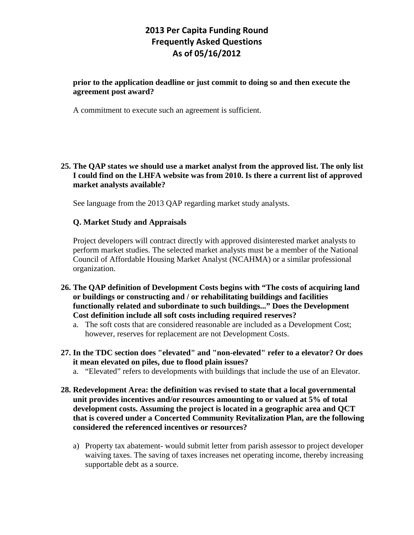#### **prior to the application deadline or just commit to doing so and then execute the agreement post award?**

A commitment to execute such an agreement is sufficient.

**25. The QAP states we should use a market analyst from the approved list. The only list I could find on the LHFA website was from 2010. Is there a current list of approved market analysts available?**

See language from the 2013 QAP regarding market study analysts.

#### **Q. Market Study and Appraisals**

Project developers will contract directly with approved disinterested market analysts to perform market studies. The selected market analysts must be a member of the National Council of Affordable Housing Market Analyst (NCAHMA) or a similar professional organization.

- **26. The QAP definition of Development Costs begins with "The costs of acquiring land or buildings or constructing and / or rehabilitating buildings and facilities functionally related and subordinate to such buildings..." Does the Development Cost definition include all soft costs including required reserves?**
	- a. The soft costs that are considered reasonable are included as a Development Cost; however, reserves for replacement are not Development Costs.
- **27. In the TDC section does "elevated" and "non-elevated" refer to a elevator? Or does it mean elevated on piles, due to flood plain issues?**
	- a. "Elevated" refers to developments with buildings that include the use of an Elevator.
- **28. Redevelopment Area: the definition was revised to state that a local governmental unit provides incentives and/or resources amounting to or valued at 5% of total development costs. Assuming the project is located in a geographic area and QCT that is covered under a Concerted Community Revitalization Plan, are the following considered the referenced incentives or resources?**
	- a) Property tax abatement- would submit letter from parish assessor to project developer waiving taxes. The saving of taxes increases net operating income, thereby increasing supportable debt as a source.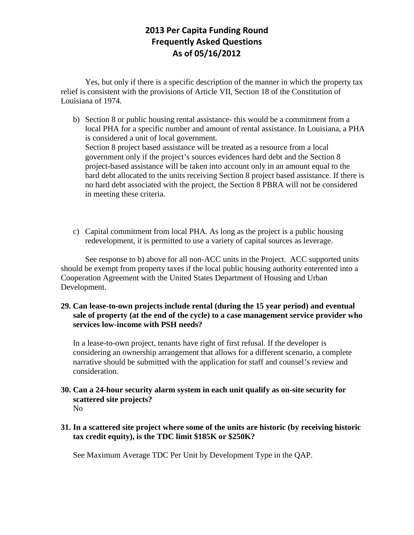Yes, but only if there is a specific description of the manner in which the property tax relief is consistent with the provisions of Article VII, Section 18 of the Constitution of Louisiana of 1974.

- b) Section 8 or public housing rental assistance- this would be a commitment from a local PHA for a specific number and amount of rental assistance. In Louisiana, a PHA is considered a unit of local government. Section 8 project based assistance will be treated as a resource from a local government only if the project's sources evidences hard debt and the Section 8 project-based assistance will be taken into account only in an amount equal to the hard debt allocated to the units receiving Section 8 project based assistance. If there is no hard debt associated with the project, the Section 8 PBRA will not be considered in meeting these criteria.
- c) Capital commitment from local PHA. As long as the project is a public housing redevelopment, it is permitted to use a variety of capital sources as leverage.

See response to b) above for all non-ACC units in the Project. ACC supported units should be exempt from property taxes if the local public housing authority enterented into a Cooperation Agreement with the United States Department of Housing and Urban Development.

**29. Can lease-to-own projects include rental (during the 15 year period) and eventual sale of property (at the end of the cycle) to a case management service provider who services low-income with PSH needs?**

In a lease-to-own project, tenants have right of first refusal. If the developer is considering an ownership arrangement that allows for a different scenario, a complete narrative should be submitted with the application for staff and counsel's review and consideration.

**30. Can a 24-hour security alarm system in each unit qualify as on-site security for scattered site projects?** No

### **31. In a scattered site project where some of the units are historic (by receiving historic tax credit equity), is the TDC limit \$185K or \$250K?**

See Maximum Average TDC Per Unit by Development Type in the QAP.